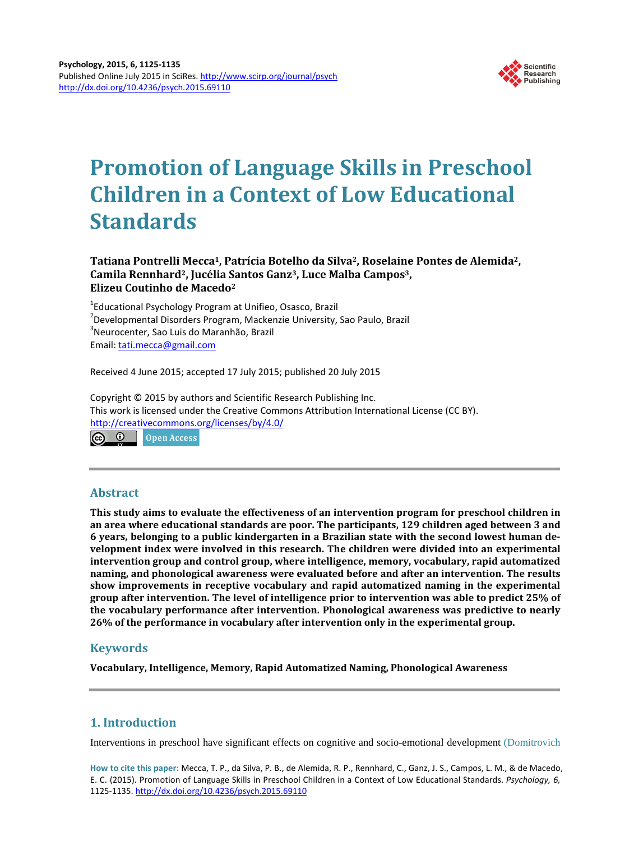

# **Promotion of Language Skills in Preschool Children in a Context of Low Educational Standards**

# **Tatiana Pontrelli Mecca1, Patrícia Botelho da Silva2, Roselaine Pontes de Alemida2, Camila Rennhard2, Jucélia Santos Ganz3, Luce Malba Campos3, Elizeu Coutinho de Macedo2**

<sup>1</sup> Educational Psychology Program at Unifieo, Osasco, Brazil<br><sup>2</sup> Developmental Disorders Program, Mackonaio University <sup>2</sup> Developmental Disorders Program, Mackenzie University, Sao Paulo, Brazil Neurocenter, Sao Luis do Maranhão, Brazil Email: [tati.mecca@gmail.com](mailto:tati.mecca@gmail.com)

Received 4 June 2015; accepted 17 July 2015; published 20 July 2015

Copyright © 2015 by authors and Scientific Research Publishing Inc. This work is licensed under the Creative Commons Attribution International License (CC BY). <http://creativecommons.org/licenses/by/4.0/> ெ 0 **Open Access** 

# **Abstract**

**This study aims to evaluate the effectiveness of an intervention program for preschool children in an area where educational standards are poor. The participants, 129 children aged between 3 and 6 years, belonging to a public kindergarten in a Brazilian state with the second lowest human development index were involved in this research. The children were divided into an experimental intervention group and control group, where intelligence, memory, vocabulary, rapid automatized naming, and phonological awareness were evaluated before and after an intervention. The results show improvements in receptive vocabulary and rapid automatized naming in the experimental group after intervention. The level of intelligence prior to intervention was able to predict 25% of the vocabulary performance after intervention. Phonological awareness was predictive to nearly 26% of the performance in vocabulary after intervention only in the experimental group.**

# **Keywords**

**Vocabulary, Intelligence, Memory, Rapid Automatized Naming, Phonological Awareness**

# **1. Introduction**

Interventions in preschool have significant effects on cognitive and socio-emotional development [\(Domitrovich](#page-9-0) 

**How to cite this paper:** Mecca, T. P., da Silva, P. B., de Alemida, R. P., Rennhard, C., Ganz, J. S., Campos, L. M., & de Macedo, E. C. (2015). Promotion of Language Skills in Preschool Children in a Context of Low Educational Standards. *Psychology, 6,* 1125-1135. <http://dx.doi.org/10.4236/psych.2015.69110>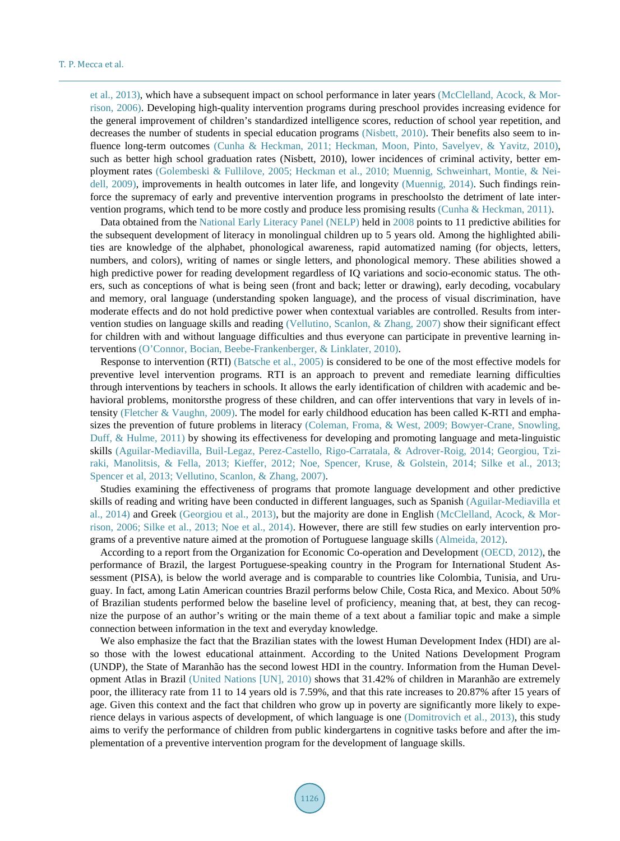et al., 2013), which have a subsequent impact on school performance in later years [\(McClelland, Acock, & Mor](#page-9-0)[rison, 2006\)](#page-9-0). Developing high-quality intervention programs during preschool provides increasing evidence for the general improvement of children's standardized intelligence scores, reduction of school year repetition, and decreases the number of students in special education programs [\(Nisbett, 2010\)](#page-9-0). Their benefits also seem to in-fluence long-term outcomes [\(Cunha & Heckman, 2011; Heckman, Moon, Pinto, Savelyev, & Yavitz, 2010\)](#page-9-0), such as better high school graduation rates (Nisbett, 2010), lower incidences of criminal activity, better employment rates [\(Golembeski & Fullilove, 2005; Heckman et al., 2010; Muennig, Schweinhart, Montie, & Nei](#page-9-0)[dell, 2009\)](#page-9-0), improvements in health outcomes in later life, and longevity [\(Muennig, 2014\)](#page-9-0). Such findings reinforce the supremacy of early and preventive intervention programs in preschoolsto the detriment of late intervention programs, which tend to be more costly and produce less promising results [\(Cunha & Heckman, 2011\)](#page-9-0).

Data obtained from the [National Early Literacy Panel \(NELP\)](#page-9-0) held in [2008](#page-9-0) points to 11 predictive abilities for the subsequent development of literacy in monolingual children up to 5 years old. Among the highlighted abilities are knowledge of the alphabet, phonological awareness, rapid automatized naming (for objects, letters, numbers, and colors), writing of names or single letters, and phonological memory. These abilities showed a high predictive power for reading development regardless of IQ variations and socio-economic status. The others, such as conceptions of what is being seen (front and back; letter or drawing), early decoding, vocabulary and memory, oral language (understanding spoken language), and the process of visual discrimination, have moderate effects and do not hold predictive power when contextual variables are controlled. Results from intervention studies on language skills and reading [\(Vellutino, Scanlon, & Zhang, 2007\)](#page-10-0) show their significant effect for children with and without language difficulties and thus everyone can participate in preventive learning interventions [\(O'Connor, Bocian, Beebe-Frankenberger, & Linklater, 2010\)](#page-10-0).

Response to intervention (RTI) [\(Batsche et al., 2005\)](#page-8-0) is considered to be one of the most effective models for preventive level intervention programs. RTI is an approach to prevent and remediate learning difficulties through interventions by teachers in schools. It allows the early identification of children with academic and behavioral problems, monitorsthe progress of these children, and can offer interventions that vary in levels of intensity [\(Fletcher & Vaughn, 2009\)](#page-9-0). The model for early childhood education has been called K-RTI and emphasizes the prevention of future problems in literacy [\(Coleman, Froma,](#page-9-0) & West, 2009; [Bowyer-Crane, Snowling,](#page-9-0)  [Duff, & Hulme, 2011\)](#page-9-0) by showing its effectiveness for developing and promoting language and meta-linguistic skills [\(Aguilar-Mediavilla, Buil-Legaz, Perez-Castello, Rigo-Carratala, & Adrover-Roig, 2014;](#page-8-0) [Georgiou, Tzi](#page-9-0)[raki, Manolitsis,](#page-9-0) & Fella, 2013; [Kieffer, 2012; Noe, Spencer, Kruse, &](#page-9-0) Golstein, 2014; [Silke et al., 2013;](#page-10-0) [Spencer et al, 2013; Vellutino, Scanlon,](#page-10-0) & Zhang, 2007).

Studies examining the effectiveness of programs that promote language development and other predictive skills of reading and writing have been conducted in different languages, such as Spanish [\(Aguilar-Mediavilla et](#page-8-0)  [al., 2014\)](#page-8-0) and Greek [\(Georgiou et al., 2013\)](#page-9-0), but the majority are done in English [\(McClelland, Acock, & Mor](#page-9-0)[rison, 2006;](#page-9-0) [Silke et al., 2013;](#page-10-0) [Noe et al., 2014\)](#page-9-0). However, there are still few studies on early intervention programs of a preventive nature aimed at the promotion of Portuguese language skills [\(Almeida, 2012\)](#page-8-0).

According to a report from the Organization for Economic Co-operation and Development [\(OECD, 2012\)](#page-10-0), the performance of Brazil, the largest Portuguese-speaking country in the Program for International Student Assessment (PISA), is below the world average and is comparable to countries like Colombia, Tunisia, and Uruguay. In fact, among Latin American countries Brazil performs below Chile, Costa Rica, and Mexico. About 50% of Brazilian students performed below the baseline level of proficiency, meaning that, at best, they can recognize the purpose of an author's writing or the main theme of a text about a familiar topic and make a simple connection between information in the text and everyday knowledge.

We also emphasize the fact that the Brazilian states with the lowest Human Development Index (HDI) are also those with the lowest educational attainment. According to the United Nations Development Program (UNDP), the State of Maranhão has the second lowest HDI in the country. Information from the Human Development Atlas in Brazil [\(United Nations \[UN\], 2010\)](#page-10-0) shows that 31.42% of children in Maranhão are extremely poor, the illiteracy rate from 11 to 14 years old is 7.59%, and that this rate increases to 20.87% after 15 years of age. Given this context and the fact that children who grow up in poverty are significantly more likely to experience delays in various aspects of development, of which language is one [\(Domitrovich et al., 2013\)](#page-9-0), this study aims to verify the performance of children from public kindergartens in cognitive tasks before and after the implementation of a preventive intervention program for the development of language skills.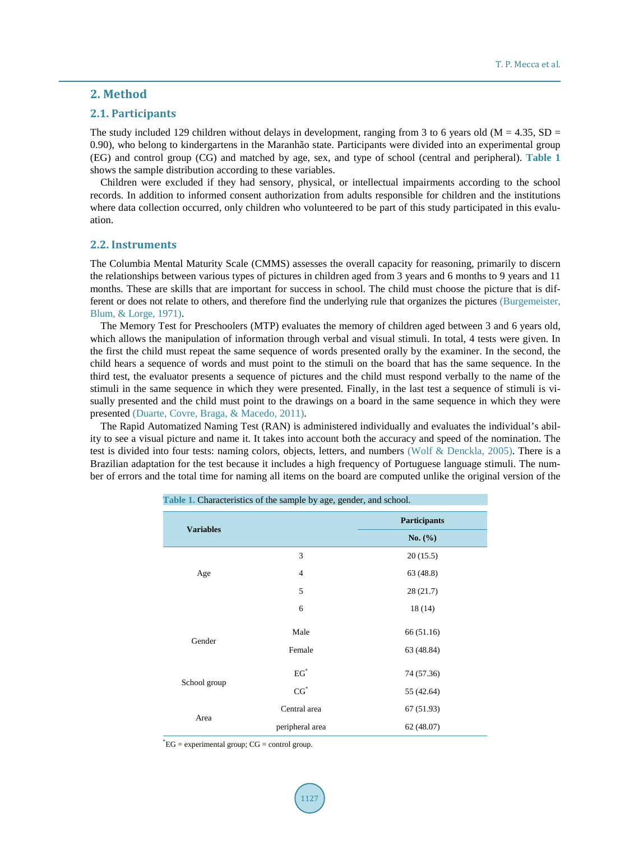# **2. Method**

# **2.1. Participants**

The study included 129 children without delays in development, ranging from 3 to 6 years old ( $M = 4.35$ , SD = 0.90), who belong to kindergartens in the Maranhão state. Participants were divided into an experimental group (EG) and control group (CG) and matched by age, sex, and type of school (central and peripheral). **[Table 1](#page-2-0)** shows the sample distribution according to these variables.

Children were excluded if they had sensory, physical, or intellectual impairments according to the school records. In addition to informed consent authorization from adults responsible for children and the institutions where data collection occurred, only children who volunteered to be part of this study participated in this evaluation.

#### **2.2. Instruments**

The Columbia Mental Maturity Scale (CMMS) assesses the overall capacity for reasoning, primarily to discern the relationships between various types of pictures in children aged from 3 years and 6 months to 9 years and 11 months. These are skills that are important for success in school. The child must choose the picture that is different or does not relate to others, and therefore find the underlying rule that organizes the pictures [\(Burgemeister,](#page-9-0)  [Blum, & Lorge, 1971\)](#page-9-0).

The Memory Test for Preschoolers (MTP) evaluates the memory of children aged between 3 and 6 years old, which allows the manipulation of information through verbal and visual stimuli. In total, 4 tests were given. In the first the child must repeat the same sequence of words presented orally by the examiner. In the second, the child hears a sequence of words and must point to the stimuli on the board that has the same sequence. In the third test, the evaluator presents a sequence of pictures and the child must respond verbally to the name of the stimuli in the same sequence in which they were presented. Finally, in the last test a sequence of stimuli is visually presented and the child must point to the drawings on a board in the same sequence in which they were presented [\(Duarte, Covre, Braga, & Macedo, 2011\)](#page-9-0).

<span id="page-2-0"></span>The Rapid Automatized Naming Test (RAN) is administered individually and evaluates the individual's ability to see a visual picture and name it. It takes into account both the accuracy and speed of the nomination. The test is divided into four tests: naming colors, objects, letters, and numbers [\(Wolf & Denckla, 2005\)](#page-10-0). There is a Brazilian adaptation for the test because it includes a high frequency of Portuguese language stimuli. The number of errors and the total time for naming all items on the board are computed unlike the original version of the

| Table 1. Characteristics of the sample by age, gender, and school. |                 |                     |  |  |  |
|--------------------------------------------------------------------|-----------------|---------------------|--|--|--|
|                                                                    |                 | <b>Participants</b> |  |  |  |
| <b>Variables</b>                                                   |                 | No. $(\% )$         |  |  |  |
|                                                                    | 3               | 20(15.5)            |  |  |  |
| Age                                                                | $\overline{4}$  | 63 (48.8)           |  |  |  |
|                                                                    | 5               | 28 (21.7)           |  |  |  |
|                                                                    | 6               | 18 (14)             |  |  |  |
|                                                                    | Male            | 66 (51.16)          |  |  |  |
| Gender                                                             | Female          | 63 (48.84)          |  |  |  |
|                                                                    | $EG^*$          | 74 (57.36)          |  |  |  |
| School group                                                       | $CG^*$          | 55 (42.64)          |  |  |  |
| Area                                                               | Central area    | 67(51.93)           |  |  |  |
|                                                                    | peripheral area | 62(48.07)           |  |  |  |

\* EG = experimental group; CG = control group.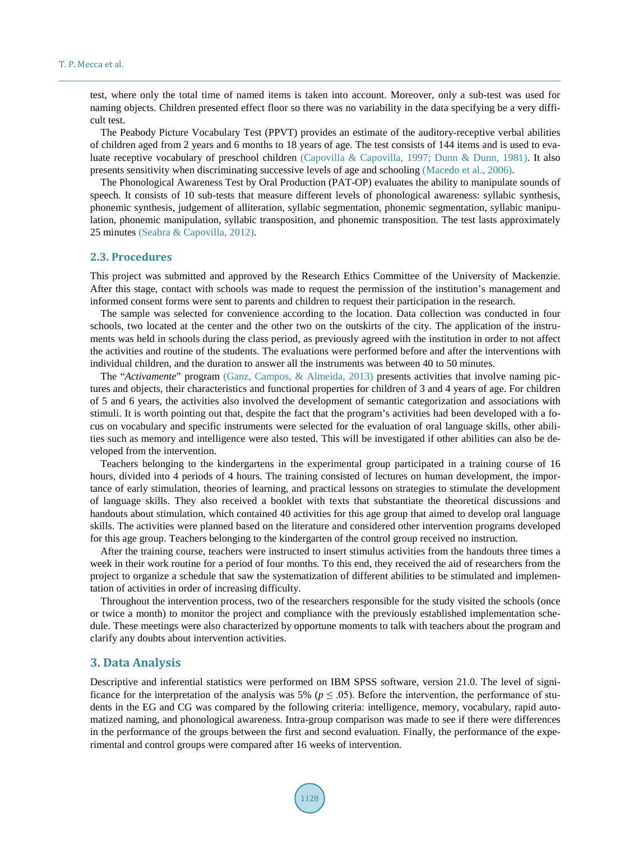test, where only the total time of named items is taken into account. Moreover, only a sub-test was used for naming objects. Children presented effect floor so there was no variability in the data specifying be a very difficult test.

The Peabody Picture Vocabulary Test (PPVT) provides an estimate of the auditory-receptive verbal abilities of children aged from 2 years and 6 months to 18 years of age. The test consists of 144 items and is used to evaluate receptive vocabulary of preschool children [\(Capovilla & Capovilla, 1997; Dunn & Dunn, 1981\)](#page-9-0). It also presents sensitivity when discriminating successive levels of age and schooling [\(Macedo et al., 2006\)](#page-9-0).

The Phonological Awareness Test by Oral Production (PAT-OP) evaluates the ability to manipulate sounds of speech. It consists of 10 sub-tests that measure different levels of phonological awareness: syllabic synthesis, phonemic synthesis, judgement of alliteration, syllabic segmentation, phonemic segmentation, syllabic manipulation, phonemic manipulation, syllabic transposition, and phonemic transposition. The test lasts approximately 25 minutes [\(Seabra & Capovilla, 2012\)](#page-10-0).

#### **2.3. Procedures**

This project was submitted and approved by the Research Ethics Committee of the University of Mackenzie. After this stage, contact with schools was made to request the permission of the institution's management and informed consent forms were sent to parents and children to request their participation in the research.

The sample was selected for convenience according to the location. Data collection was conducted in four schools, two located at the center and the other two on the outskirts of the city. The application of the instruments was held in schools during the class period, as previously agreed with the institution in order to not affect the activities and routine of the students. The evaluations were performed before and after the interventions with individual children, and the duration to answer all the instruments was between 40 to 50 minutes.

The "*Activamente*" program [\(Ganz, Campos, & Almeida, 2013\)](#page-9-0) presents activities that involve naming pictures and objects, their characteristics and functional properties for children of 3 and 4 years of age. For children of 5 and 6 years, the activities also involved the development of semantic categorization and associations with stimuli. It is worth pointing out that, despite the fact that the program's activities had been developed with a focus on vocabulary and specific instruments were selected for the evaluation of oral language skills, other abilities such as memory and intelligence were also tested. This will be investigated if other abilities can also be developed from the intervention.

Teachers belonging to the kindergartens in the experimental group participated in a training course of 16 hours, divided into 4 periods of 4 hours. The training consisted of lectures on human development, the importance of early stimulation, theories of learning, and practical lessons on strategies to stimulate the development of language skills. They also received a booklet with texts that substantiate the theoretical discussions and handouts about stimulation, which contained 40 activities for this age group that aimed to develop oral language skills. The activities were planned based on the literature and considered other intervention programs developed for this age group. Teachers belonging to the kindergarten of the control group received no instruction.

After the training course, teachers were instructed to insert stimulus activities from the handouts three times a week in their work routine for a period of four months. To this end, they received the aid of researchers from the project to organize a schedule that saw the systematization of different abilities to be stimulated and implementation of activities in order of increasing difficulty.

Throughout the intervention process, two of the researchers responsible for the study visited the schools (once or twice a month) to monitor the project and compliance with the previously established implementation schedule. These meetings were also characterized by opportune moments to talk with teachers about the program and clarify any doubts about intervention activities.

## **3. Data Analysis**

Descriptive and inferential statistics were performed on IBM SPSS software, version 21.0. The level of significance for the interpretation of the analysis was 5% ( $p \leq .05$ ). Before the intervention, the performance of students in the EG and CG was compared by the following criteria: intelligence, memory, vocabulary, rapid automatized naming, and phonological awareness. Intra-group comparison was made to see if there were differences in the performance of the groups between the first and second evaluation. Finally, the performance of the experimental and control groups were compared after 16 weeks of intervention.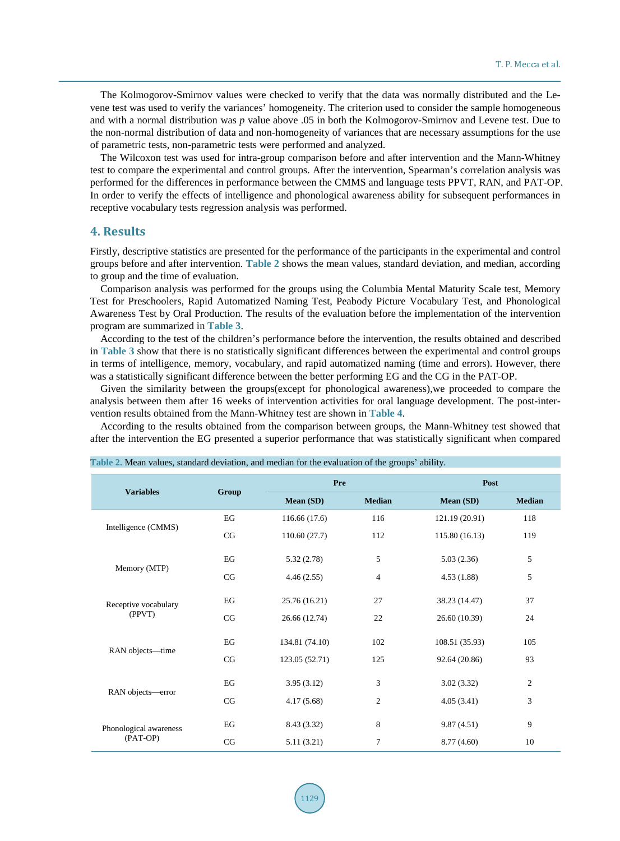The Kolmogorov-Smirnov values were checked to verify that the data was normally distributed and the Levene test was used to verify the variances' homogeneity. The criterion used to consider the sample homogeneous and with a normal distribution was *p* value above .05 in both the Kolmogorov-Smirnov and Levene test. Due to the non-normal distribution of data and non-homogeneity of variances that are necessary assumptions for the use of parametric tests, non-parametric tests were performed and analyzed.

The Wilcoxon test was used for intra-group comparison before and after intervention and the Mann-Whitney test to compare the experimental and control groups. After the intervention, Spearman's correlation analysis was performed for the differences in performance between the CMMS and language tests PPVT, RAN, and PAT-OP. In order to verify the effects of intelligence and phonological awareness ability for subsequent performances in receptive vocabulary tests regression analysis was performed.

## **4. Results**

Firstly, descriptive statistics are presented for the performance of the participants in the experimental and control groups before and after intervention. **[Table 2](#page-4-0)** shows the mean values, standard deviation, and median, according to group and the time of evaluation.

Comparison analysis was performed for the groups using the Columbia Mental Maturity Scale test, Memory Test for Preschoolers, Rapid Automatized Naming Test, Peabody Picture Vocabulary Test, and Phonological Awareness Test by Oral Production. The results of the evaluation before the implementation of the intervention program are summarized in **[Table 3](#page-5-0)**.

According to the test of the children's performance before the intervention, the results obtained and described in **[Table 3](#page-5-0)** show that there is no statistically significant differences between the experimental and control groups in terms of intelligence, memory, vocabulary, and rapid automatized naming (time and errors). However, there was a statistically significant difference between the better performing EG and the CG in the PAT-OP.

Given the similarity between the groups(except for phonological awareness),we proceeded to compare the analysis between them after 16 weeks of intervention activities for oral language development. The post-intervention results obtained from the Mann-Whitney test are shown in **[Table 4](#page-5-1)**.

According to the results obtained from the comparison between groups, the Mann-Whitney test showed that after the intervention the EG presented a superior performance that was statistically significant when compared

|                                |       | Pre            |                | Post           |                |  |  |
|--------------------------------|-------|----------------|----------------|----------------|----------------|--|--|
| <b>Variables</b>               | Group | Mean (SD)      | <b>Median</b>  | Mean (SD)      | <b>Median</b>  |  |  |
|                                | EG    | 116.66 (17.6)  | 116            | 121.19 (20.91) | 118            |  |  |
| Intelligence (CMMS)            | CG    | 110.60(27.7)   | 112            | 115.80 (16.13) | 119            |  |  |
|                                | EG    | 5.32(2.78)     | 5              | 5.03(2.36)     | 5              |  |  |
| Memory (MTP)                   | CG    | 4.46(2.55)     | $\overline{4}$ | 4.53(1.88)     | 5              |  |  |
| Receptive vocabulary<br>(PPVT) | EG    | 25.76 (16.21)  | 27             | 38.23 (14.47)  | 37             |  |  |
|                                | CG    | 26.66 (12.74)  | 22             | 26.60 (10.39)  | 24             |  |  |
| RAN objects-time               | EG    | 134.81 (74.10) | 102            | 108.51 (35.93) | 105            |  |  |
|                                | CG    | 123.05 (52.71) | 125            | 92.64 (20.86)  | 93             |  |  |
|                                | EG    | 3.95(3.12)     | 3              | 3.02(3.32)     | $\overline{2}$ |  |  |
| RAN objects-error              | CG    | 4.17(5.68)     | 2              | 4.05(3.41)     | 3              |  |  |
| Phonological awareness         | EG    | 8.43 (3.32)    | 8              | 9.87(4.51)     | 9              |  |  |
| (PAT-OP)                       | CG    | 5.11(3.21)     | $\overline{7}$ | 8.77 (4.60)    | 10             |  |  |

<span id="page-4-0"></span>**Table 2.** Mean values, standard deviation, and median for the evaluation of the groups' ability.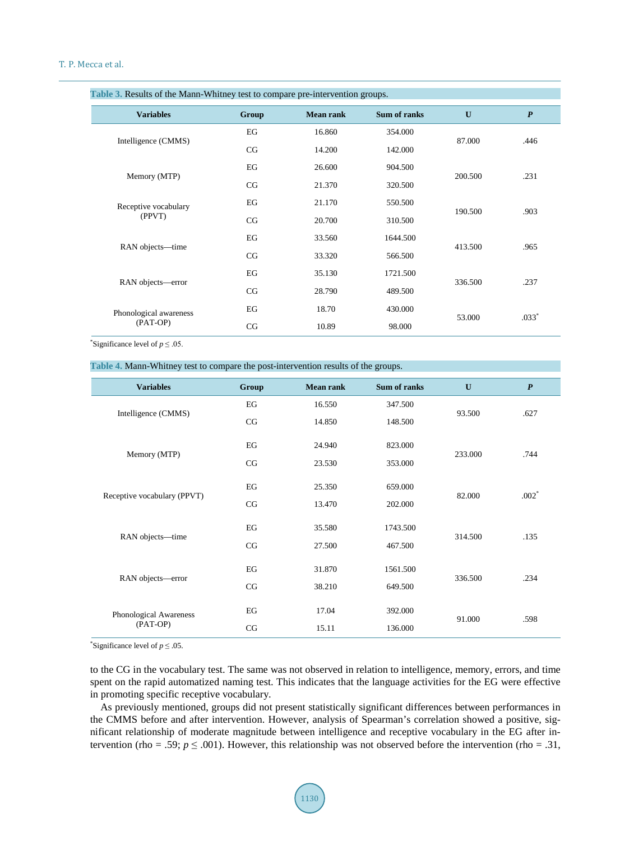<span id="page-5-0"></span>

| Table 3. Results of the Mann-Whitney test to compare pre-intervention groups. |       |                  |              |              |                  |  |  |
|-------------------------------------------------------------------------------|-------|------------------|--------------|--------------|------------------|--|--|
| <b>Variables</b>                                                              | Group | <b>Mean rank</b> | Sum of ranks | $\mathbf{U}$ | $\boldsymbol{P}$ |  |  |
| Intelligence (CMMS)                                                           | EG    | 16.860           | 354.000      | 87.000       | .446             |  |  |
|                                                                               | CG    | 14.200           | 142.000      |              |                  |  |  |
| Memory (MTP)                                                                  | EG    | 26.600           | 904.500      |              |                  |  |  |
|                                                                               | CG    | 21.370           | 320.500      | 200.500      | .231             |  |  |
| Receptive vocabulary<br>(PPVT)                                                | EG    | 21.170           | 550.500      |              |                  |  |  |
|                                                                               | CG    | 20.700           | 310.500      | 190.500      | .903             |  |  |
|                                                                               | EG    | 33.560           | 1644.500     |              |                  |  |  |
| RAN objects-time                                                              | CG    | 33.320           | 566.500      | 413.500      | .965             |  |  |
|                                                                               | EG    | 35.130           | 1721.500     |              |                  |  |  |
| RAN objects-error                                                             | CG    | 28.790           | 489.500      | 336.500      | .237             |  |  |
| Phonological awareness                                                        | EG    | 18.70            | 430.000      |              |                  |  |  |
| (PAT-OP)                                                                      | CG    | 10.89            | 98.000       | 53.000       | $.033*$          |  |  |

\*Significance level of  $p \le 0.05$ .

<span id="page-5-1"></span>**Table 4.** Mann-Whitney test to compare the post-intervention results of the groups.

| <b>Variables</b>                   | Group | <b>Mean rank</b>  | Sum of ranks     | $\mathbf{U}$ | $\boldsymbol{P}$ |
|------------------------------------|-------|-------------------|------------------|--------------|------------------|
| Intelligence (CMMS)                | EG    | 16.550            | 347.500          |              |                  |
|                                    | CG    | 14.850<br>148.500 |                  | 93.500       | .627             |
|                                    | EG    | 24.940            | 823.000          |              |                  |
| Memory (MTP)                       | CG    | 23.530            | 353.000          | 233.000      | .744             |
| Receptive vocabulary (PPVT)        | EG    | 25.350            | 659.000          |              | $.002*$          |
|                                    | CG    | 13.470            | 202.000          | 82.000       |                  |
|                                    | EG    | 35.580            | 1743.500         |              |                  |
| RAN objects-time                   | CG    | 27.500            | 467.500          | 314.500      | .135             |
|                                    | EG    | 31.870            | 1561.500         |              |                  |
| RAN objects-error                  | CG    | 38.210            | 649.500          | 336.500      | .234             |
| Phonological Awareness<br>(PAT-OP) | EG    | 17.04             | 392.000          |              |                  |
|                                    |       |                   | 15.11<br>136.000 |              | .598             |
|                                    | CG    |                   |                  |              |                  |

\*Significance level of  $p \leq 0.05$ .

to the CG in the vocabulary test. The same was not observed in relation to intelligence, memory, errors, and time spent on the rapid automatized naming test. This indicates that the language activities for the EG were effective in promoting specific receptive vocabulary.

As previously mentioned, groups did not present statistically significant differences between performances in the CMMS before and after intervention. However, analysis of Spearman's correlation showed a positive, significant relationship of moderate magnitude between intelligence and receptive vocabulary in the EG after intervention (rho = .59;  $p \leq .001$ ). However, this relationship was not observed before the intervention (rho = .31,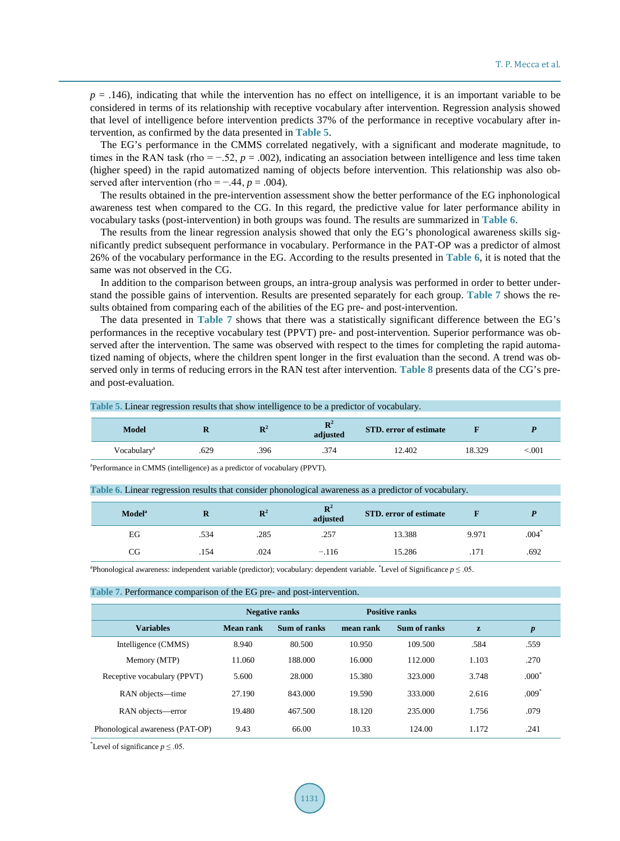$p = .146$ ), indicating that while the intervention has no effect on intelligence, it is an important variable to be considered in terms of its relationship with receptive vocabulary after intervention. Regression analysis showed that level of intelligence before intervention predicts 37% of the performance in receptive vocabulary after intervention, as confirmed by the data presented in **[Table 5](#page-6-0)**.

The EG's performance in the CMMS correlated negatively, with a significant and moderate magnitude, to times in the RAN task (rho =  $-.52$ ,  $p = .002$ ), indicating an association between intelligence and less time taken (higher speed) in the rapid automatized naming of objects before intervention. This relationship was also observed after intervention (rho =  $-.44$ ,  $p = .004$ ).

The results obtained in the pre-intervention assessment show the better performance of the EG inphonological awareness test when compared to the CG. In this regard, the predictive value for later performance ability in vocabulary tasks (post-intervention) in both groups was found. The results are summarized in **[Table 6](#page-6-1)**.

The results from the linear regression analysis showed that only the EG's phonological awareness skills significantly predict subsequent performance in vocabulary. Performance in the PAT-OP was a predictor of almost 26% of the vocabulary performance in the EG. According to the results presented in **[Table 6](#page-6-1)**, it is noted that the same was not observed in the CG.

In addition to the comparison between groups, an intra-group analysis was performed in order to better understand the possible gains of intervention. Results are presented separately for each group. **[Table 7](#page-6-2)** shows the results obtained from comparing each of the abilities of the EG pre- and post-intervention.

The data presented in **[Table 7](#page-6-2)** shows that there was a statistically significant difference between the EG's performances in the receptive vocabulary test (PPVT) pre- and post-intervention. Superior performance was observed after the intervention. The same was observed with respect to the times for completing the rapid automatized naming of objects, where the children spent longer in the first evaluation than the second. A trend was observed only in terms of reducing errors in the RAN test after intervention. **[Table 8](#page-7-0)** presents data of the CG's preand post-evaluation.

<span id="page-6-0"></span>**Table 5.** Linear regression results that show intelligence to be a predictor of vocabulary.

| Model                   | . .  | <b>The</b><br>. . | $\sim$<br>-18<br>adjusted | <b>STD, error of estimate</b> |        |      |
|-------------------------|------|-------------------|---------------------------|-------------------------------|--------|------|
| Vocabulary <sup>a</sup> | .629 | .396              | .374                      | 12.402                        | 18.329 | .001 |

a Performance in CMMS (intelligence) as a predictor of vocabulary (PPVT).

<span id="page-6-1"></span>

| Table 6. Linear regression results that consider phonological awareness as a predictor of vocabulary. |  |  |  |
|-------------------------------------------------------------------------------------------------------|--|--|--|
|                                                                                                       |  |  |  |
|                                                                                                       |  |  |  |
|                                                                                                       |  |  |  |

| <b>Model</b> <sup>a</sup> | ĸ    | $\mathbf{R}^2$ | $\mathbf{R}^2$<br>adjusted | <b>STD, error of estimate</b> |       |      |
|---------------------------|------|----------------|----------------------------|-------------------------------|-------|------|
| EG                        | .534 | .285           | .257                       | 13.388                        | 9.971 | .004 |
| CG                        | .154 | .024           | $-.116$                    | 15.286                        | .171  | .692 |

a Phonological awareness: independent variable (predictor); vocabulary: dependent variable. \* Level of Significance *p* ≤ .05.

#### <span id="page-6-2"></span>**Table 7.** Performance comparison of the EG pre- and post-intervention.

|                                 | <b>Negative ranks</b> |              | <b>Positive ranks</b> |              |       |                  |
|---------------------------------|-----------------------|--------------|-----------------------|--------------|-------|------------------|
| <b>Variables</b>                | Mean rank             | Sum of ranks | mean rank             | Sum of ranks | z     | $\boldsymbol{p}$ |
| Intelligence (CMMS)             | 8.940                 | 80.500       | 10.950                | 109.500      | .584  | .559             |
| Memory (MTP)                    | 11.060                | 188.000      | 16.000                | 112.000      | 1.103 | .270             |
| Receptive vocabulary (PPVT)     | 5.600                 | 28.000       | 15.380                | 323.000      | 3.748 | $.000^*$         |
| RAN objects—time                | 27.190                | 843.000      | 19.590                | 333,000      | 2.616 | $.009*$          |
| RAN objects-error               | 19.480                | 467.500      | 18.120                | 235.000      | 1.756 | .079             |
| Phonological awareness (PAT-OP) | 9.43                  | 66.00        | 10.33                 | 124.00       | 1.172 | .241             |

\*Level of significance  $p \leq 0.05$ .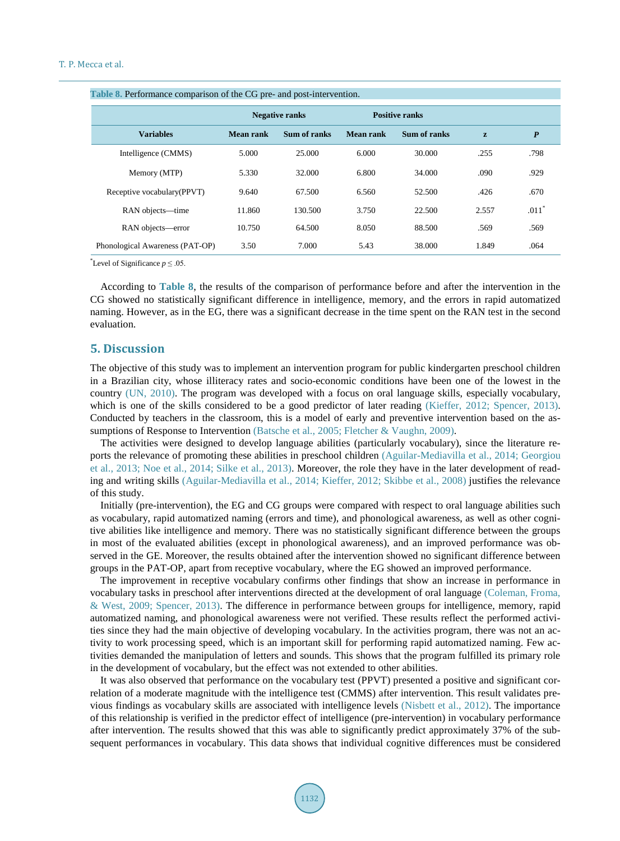<span id="page-7-0"></span>

| Table 8. Performance comparison of the CG pre- and post-intervention. |                       |              |           |                       |       |                  |  |  |
|-----------------------------------------------------------------------|-----------------------|--------------|-----------|-----------------------|-------|------------------|--|--|
|                                                                       | <b>Negative ranks</b> |              |           | <b>Positive ranks</b> |       |                  |  |  |
| <b>Variables</b>                                                      | <b>Mean rank</b>      | Sum of ranks | Mean rank | Sum of ranks          | z     | $\boldsymbol{P}$ |  |  |
| Intelligence (CMMS)                                                   | 5.000                 | 25.000       | 6.000     | 30.000                | .255  | .798             |  |  |
| Memory (MTP)                                                          | 5.330                 | 32.000       | 6.800     | 34.000                | .090  | .929             |  |  |
| Receptive vocabulary (PPVT)                                           | 9.640                 | 67.500       | 6.560     | 52.500                | .426  | .670             |  |  |
| RAN objects-time                                                      | 11.860                | 130.500      | 3.750     | 22.500                | 2.557 | $.011*$          |  |  |
| RAN objects-error                                                     | 10.750                | 64.500       | 8.050     | 88.500                | .569  | .569             |  |  |
| Phonological Awareness (PAT-OP)                                       | 3.50                  | 7.000        | 5.43      | 38.000                | 1.849 | .064             |  |  |

\*Level of Significance  $p \leq 0.05$ .

According to **[Table 8](#page-7-0)**, the results of the comparison of performance before and after the intervention in the CG showed no statistically significant difference in intelligence, memory, and the errors in rapid automatized naming. However, as in the EG, there was a significant decrease in the time spent on the RAN test in the second evaluation.

## **5. Discussion**

The objective of this study was to implement an intervention program for public kindergarten preschool children in a Brazilian city, whose illiteracy rates and socio-economic conditions have been one of the lowest in the country [\(UN, 2010\)](#page-10-0). The program was developed with a focus on oral language skills, especially vocabulary, which is one of the skills considered to be a good predictor of later reading [\(Kieffer, 2012;](#page-9-0) [Spencer, 2013\)](#page-10-0). Conducted by teachers in the classroom, this is a model of early and preventive intervention based on the assumptions of Response to Intervention [\(Batsche et al., 2005;](#page-8-0) [Fletcher & Vaughn, 2009\)](#page-9-0).

The activities were designed to develop language abilities (particularly vocabulary), since the literature reports the relevance of promoting these abilities in preschool children [\(Aguilar-Mediavilla et al., 2014;](#page-8-0) [Georgiou](#page-9-0)  [et al., 2013; Noe et al., 2014;](#page-9-0) [Silke et al., 2013\)](#page-10-0). Moreover, the role they have in the later development of reading and writing skills [\(Aguilar-Mediavilla et al., 2014;](#page-8-0) [Kieffer, 2012;](#page-9-0) [Skibbe et al., 2008\)](#page-10-0) justifies the relevance of this study.

Initially (pre-intervention), the EG and CG groups were compared with respect to oral language abilities such as vocabulary, rapid automatized naming (errors and time), and phonological awareness, as well as other cognitive abilities like intelligence and memory. There was no statistically significant difference between the groups in most of the evaluated abilities (except in phonological awareness), and an improved performance was observed in the GE. Moreover, the results obtained after the intervention showed no significant difference between groups in the PAT-OP, apart from receptive vocabulary, where the EG showed an improved performance.

The improvement in receptive vocabulary confirms other findings that show an increase in performance in vocabulary tasks in preschool after interventions directed at the development of oral language [\(Coleman, Froma,](#page-9-0) [& West, 2009;](#page-9-0) [Spencer, 2013\)](#page-10-0). The difference in performance between groups for intelligence, memory, rapid automatized naming, and phonological awareness were not verified. These results reflect the performed activities since they had the main objective of developing vocabulary. In the activities program, there was not an activity to work processing speed, which is an important skill for performing rapid automatized naming. Few activities demanded the manipulation of letters and sounds. This shows that the program fulfilled its primary role in the development of vocabulary, but the effect was not extended to other abilities.

It was also observed that performance on the vocabulary test (PPVT) presented a positive and significant correlation of a moderate magnitude with the intelligence test (CMMS) after intervention. This result validates previous findings as vocabulary skills are associated with intelligence levels [\(Nisbett et al., 2012\)](#page-9-0). The importance of this relationship is verified in the predictor effect of intelligence (pre-intervention) in vocabulary performance after intervention. The results showed that this was able to significantly predict approximately 37% of the subsequent performances in vocabulary. This data shows that individual cognitive differences must be considered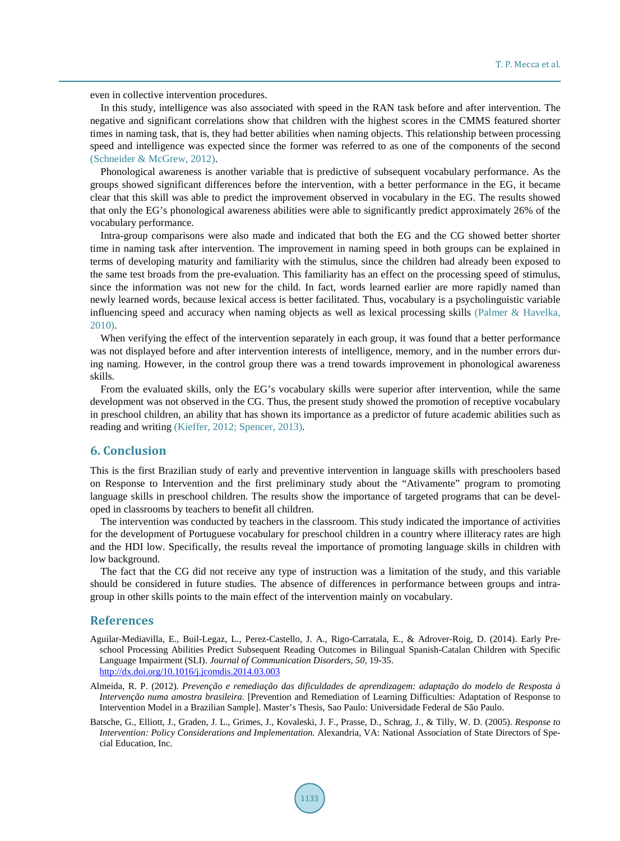even in collective intervention procedures.

In this study, intelligence was also associated with speed in the RAN task before and after intervention. The negative and significant correlations show that children with the highest scores in the CMMS featured shorter times in naming task, that is, they had better abilities when naming objects. This relationship between processing speed and intelligence was expected since the former was referred to as one of the components of the second (Schneider & [McGrew, 2012\)](#page-10-0).

Phonological awareness is another variable that is predictive of subsequent vocabulary performance. As the groups showed significant differences before the intervention, with a better performance in the EG, it became clear that this skill was able to predict the improvement observed in vocabulary in the EG. The results showed that only the EG's phonological awareness abilities were able to significantly predict approximately 26% of the vocabulary performance.

Intra-group comparisons were also made and indicated that both the EG and the CG showed better shorter time in naming task after intervention. The improvement in naming speed in both groups can be explained in terms of developing maturity and familiarity with the stimulus, since the children had already been exposed to the same test broads from the pre-evaluation. This familiarity has an effect on the processing speed of stimulus, since the information was not new for the child. In fact, words learned earlier are more rapidly named than newly learned words, because lexical access is better facilitated. Thus, vocabulary is a psycholinguistic variable influencing speed and accuracy when naming objects as well as lexical processing skills [\(Palmer & Havelka,](#page-10-0)  [2010\)](#page-10-0).

When verifying the effect of the intervention separately in each group, it was found that a better performance was not displayed before and after intervention interests of intelligence, memory, and in the number errors during naming. However, in the control group there was a trend towards improvement in phonological awareness skills.

From the evaluated skills, only the EG's vocabulary skills were superior after intervention, while the same development was not observed in the CG. Thus, the present study showed the promotion of receptive vocabulary in preschool children, an ability that has shown its importance as a predictor of future academic abilities such as reading and writing [\(Kieffer, 2012;](#page-9-0) [Spencer, 2013\)](#page-10-0).

## **6. Conclusion**

This is the first Brazilian study of early and preventive intervention in language skills with preschoolers based on Response to Intervention and the first preliminary study about the "Ativamente" program to promoting language skills in preschool children. The results show the importance of targeted programs that can be developed in classrooms by teachers to benefit all children.

The intervention was conducted by teachers in the classroom. This study indicated the importance of activities for the development of Portuguese vocabulary for preschool children in a country where illiteracy rates are high and the HDI low. Specifically, the results reveal the importance of promoting language skills in children with low background.

The fact that the CG did not receive any type of instruction was a limitation of the study, and this variable should be considered in future studies. The absence of differences in performance between groups and intragroup in other skills points to the main effect of the intervention mainly on vocabulary.

## **References**

- <span id="page-8-0"></span>Aguilar-Mediavilla, E., Buil-Legaz, L., Perez-Castello, J. A., Rigo-Carratala, E., & Adrover-Roig, D. (2014). Early Preschool Processing Abilities Predict Subsequent Reading Outcomes in Bilingual Spanish-Catalan Children with Specific Language Impairment (SLI). *Journal of Communication Disorders, 50,* 19-35. <http://dx.doi.org/10.1016/j.jcomdis.2014.03.003>
- Almeida, R. P. (2012). *Prevenção e remediação das dificuldades de aprendizagem: adaptação do modelo de Resposta à Intervenção numa amostra brasileira.* [Prevention and Remediation of Learning Difficulties: Adaptation of Response to Intervention Model in a Brazilian Sample]. Master's Thesis, Sao Paulo: Universidade Federal de São Paulo.
- Batsche, G., Elliott, J., Graden, J. L., Grimes, J., Kovaleski, J. F., Prasse, D., Schrag, J., & Tilly, W. D. (2005). *Response to Intervention: Policy Considerations and Implementation.* Alexandria, VA: National Association of State Directors of Special Education, Inc.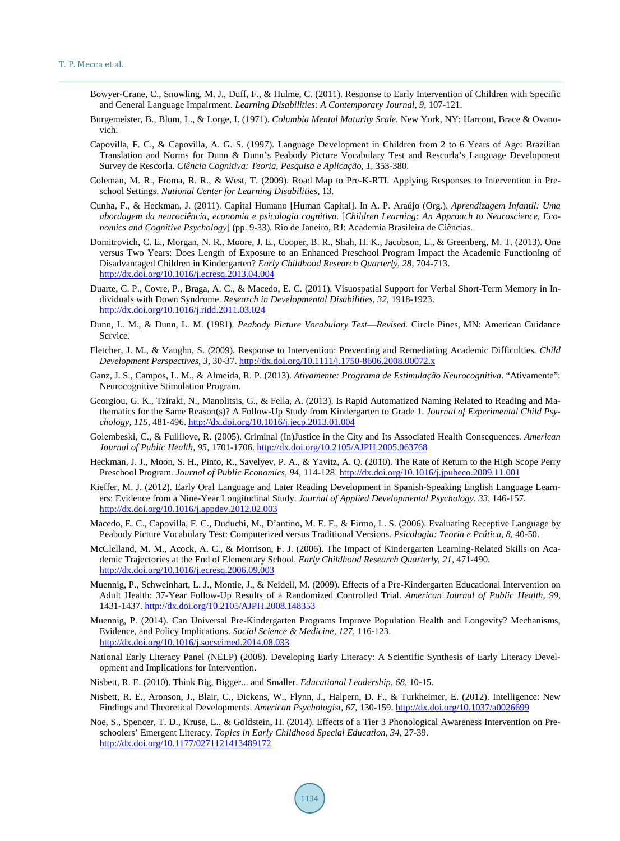- <span id="page-9-0"></span>Bowyer-Crane, C., Snowling, M. J., Duff, F., & Hulme, C. (2011). Response to Early Intervention of Children with Specific and General Language Impairment. *Learning Disabilities: A Contemporary Journal, 9,* 107-121.
- Burgemeister, B., Blum, L., & Lorge, I. (1971). *Columbia Mental Maturity Scale*. New York, NY: Harcout, Brace & Ovanovich.
- Capovilla, F. C., & Capovilla, A. G. S. (1997). Language Development in Children from 2 to 6 Years of Age: Brazilian Translation and Norms for Dunn & Dunn's Peabody Picture Vocabulary Test and Rescorla's Language Development Survey de Rescorla. *Ciência Cognitiva: Teoria, Pesquisa e Aplicação, 1,* 353-380.
- Coleman, M. R., Froma, R. R., & West, T. (2009). Road Map to Pre-K-RTI. Applying Responses to Intervention in Preschool Settings. *National Center for Learning Disabilities,* 13.
- Cunha, F., & Heckman, J. (2011). Capital Humano [Human Capital]. In A. P. Araújo (Org.), *Aprendizagem Infantil: Uma abordagem da neurociência, economia e psicologia cognitiva.* [*Children Learning: An Approach to Neuroscience, Economics and Cognitive Psychology*] (pp. 9-33). Rio de Janeiro, RJ: Academia Brasileira de Ciências.
- Domitrovich, C. E., Morgan, N. R., Moore, J. E., Cooper, B. R., Shah, H. K., Jacobson, L., & Greenberg, M. T. (2013). One versus Two Years: Does Length of Exposure to an Enhanced Preschool Program Impact the Academic Functioning of Disadvantaged Children in Kindergarten? *Early Childhood Research Quarterly, 28,* 704-713. <http://dx.doi.org/10.1016/j.ecresq.2013.04.004>
- Duarte, C. P., Covre, P., Braga, A. C., & Macedo, E. C. (2011). Visuospatial Support for Verbal Short-Term Memory in Individuals with Down Syndrome. *Research in Developmental Disabilities, 32,* 1918-1923. <http://dx.doi.org/10.1016/j.ridd.2011.03.024>
- Dunn, L. M., & Dunn, L. M. (1981). *Peabody Picture Vocabulary Test*—*Revised.* Circle Pines, MN: American Guidance Service.
- Fletcher, J. M., & Vaughn, S. (2009). Response to Intervention: Preventing and Remediating Academic Difficulties*. Child Development Perspectives, 3,* 30-37. <http://dx.doi.org/10.1111/j.1750-8606.2008.00072.x>
- Ganz, J. S., Campos, L. M., & Almeida, R. P. (2013). *Ativamente: Programa de Estimulação Neurocognitiva*. "Ativamente": Neurocognitive Stimulation Program.
- Georgiou, G. K., Tziraki, N., Manolitsis, G., & Fella, A. (2013). Is Rapid Automatized Naming Related to Reading and Mathematics for the Same Reason(s)? A Follow-Up Study from Kindergarten to Grade 1. *Journal of Experimental Child Psychology, 115,* 481-496.<http://dx.doi.org/10.1016/j.jecp.2013.01.004>
- Golembeski, C., & Fullilove, R. (2005). Criminal (In)Justice in the City and Its Associated Health Consequences. *American Journal of Public Health, 95,* 1701-1706.<http://dx.doi.org/10.2105/AJPH.2005.063768>
- Heckman, J. J., Moon, S. H., Pinto, R., Savelyev, P. A., & Yavitz, A. Q. (2010). The Rate of Return to the High Scope Perry Preschool Program. *Journal of Public Economics, 94,* 114-128.<http://dx.doi.org/10.1016/j.jpubeco.2009.11.001>
- Kieffer, M. J. (2012). Early Oral Language and Later Reading Development in Spanish-Speaking English Language Learners: Evidence from a Nine-Year Longitudinal Study. *Journal of Applied Developmental Psychology, 33,* 146-157. <http://dx.doi.org/10.1016/j.appdev.2012.02.003>
- Macedo, E. C., Capovilla, F. C., Duduchi, M., D'antino, M. E. F., & Firmo, L. S. (2006). Evaluating Receptive Language by Peabody Picture Vocabulary Test: Computerized versus Traditional Versions. *Psicologia: Teoria e Prática, 8,* 40-50.
- McClelland, M. M., Acock, A. C., & Morrison, F. J. (2006). The Impact of Kindergarten Learning-Related Skills on Academic Trajectories at the End of Elementary School. *Early Childhood Research Quarterly, 21,* 471-490. <http://dx.doi.org/10.1016/j.ecresq.2006.09.003>
- Muennig, P., Schweinhart, L. J., Montie, J., & Neidell, M. (2009). Effects of a Pre-Kindergarten Educational Intervention on Adult Health: 37-Year Follow-Up Results of a Randomized Controlled Trial. *American Journal of Public Health, 99,* 1431-1437[. http://dx.doi.org/10.2105/AJPH.2008.148353](http://dx.doi.org/10.2105/AJPH.2008.148353)
- Muennig, P. (2014). Can Universal Pre-Kindergarten Programs Improve Population Health and Longevity? Mechanisms, Evidence, and Policy Implications. *Social Science & Medicine, 127,* 116-123. <http://dx.doi.org/10.1016/j.socscimed.2014.08.033>
- National Early Literacy Panel (NELP) (2008). Developing Early Literacy: A Scientific Synthesis of Early Literacy Development and Implications for Intervention.
- Nisbett, R. E. (2010). Think Big, Bigger... and Smaller. *Educational Leadership, 68,* 10-15.
- Nisbett, R. E., Aronson, J., Blair, C., Dickens, W., Flynn, J., Halpern, D. F., & Turkheimer, E. (2012). Intelligence: New Findings and Theoretical Developments. *American Psychologist, 67,* 130-159.<http://dx.doi.org/10.1037/a0026699>
- Noe, S., Spencer, T. D., Kruse, L., & Goldstein, H. (2014). Effects of a Tier 3 Phonological Awareness Intervention on Preschoolers' Emergent Literacy. *Topics in Early Childhood Special Education, 34,* 27-39. <http://dx.doi.org/10.1177/0271121413489172>